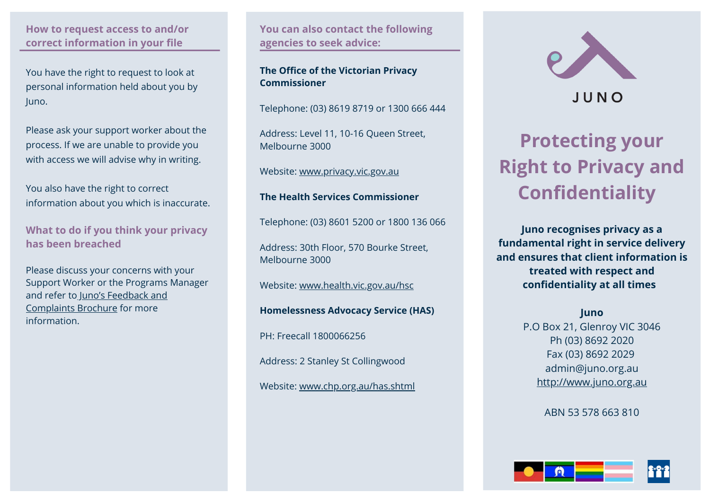# **How to request access to and/or correct information in your file**

You have the right to request to look at personal information held about you by Juno.

Please ask your support worker about the process. If we are unable to provide you with access we will advise why in writing.

You also have the right to correct information about you which is inaccurate.

**What to do if you think your privacy has been breached** 

Please discuss your concerns with your Support Worker or the Programs Manager and refer to Juno's Feedback and Complaints Brochure for more information.

**You can also contact the following agencies to seek advice:** 

# **The Office of the Victorian Privacy Commissioner**

Telephone: (03) 8619 8719 or 1300 666 444

Address: Level 11, 10-16 Queen Street, Melbourne 3000

Website: [www.privacy.vic.gov.au](http://www.privacy.vic.gov.au/)

# **The Health Services Commissioner**

Telephone: (03) 8601 5200 or 1800 136 066

Address: 30th Floor, 570 Bourke Street, Melbourne 3000

Website: [www.health.vic.gov.au/hsc](http://www.health.vic.gov.au/hsc)

**Homelessness Advocacy Service (HAS)**

PH: Freecall 1800066256

Address: 2 Stanley St Collingwood

Website: [www.chp.org.au/has.shtml](http://www.chp.org.au/has.shtml)



# JUNO

# **Protecting your Right to Privacy and Confidentiality**

**Juno recognises privacy as a fundamental right in service delivery and ensures that client information is treated with respect and confidentiality at all times** 

# **Juno**

P.O Box 21, Glenroy VIC 3046 Ph (03) 8692 2020 Fax (03) 8692 2029 admin@juno.org.au [http://www.juno.org.au](http://www.juno.org.au/)

ABN 53 578 663 810